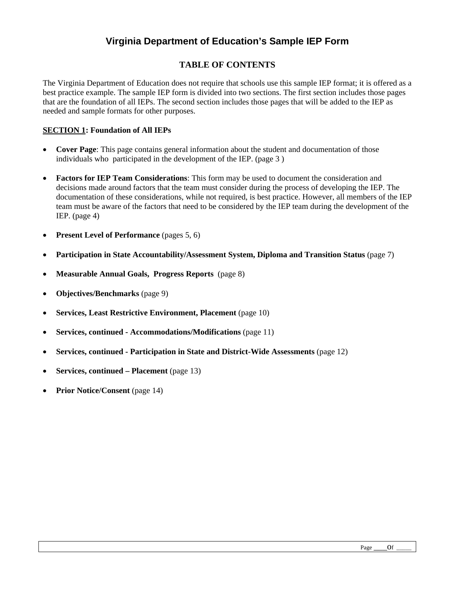## **Virginia Department of Education's Sample IEP Form**

## **TABLE OF CONTENTS**

The Virginia Department of Education does not require that schools use this sample IEP format; it is offered as a best practice example. The sample IEP form is divided into two sections. The first section includes those pages that are the foundation of all IEPs. The second section includes those pages that will be added to the IEP as needed and sample formats for other purposes.

## **SECTION 1: Foundation of All IEPs**

- **Cover Page**: This page contains general information about the student and documentation of those individuals who participated in the development of the IEP. (page 3 )
- **Factors for IEP Team Considerations**: This form may be used to document the consideration and decisions made around factors that the team must consider during the process of developing the IEP. The documentation of these considerations, while not required, is best practice. However, all members of the IEP team must be aware of the factors that need to be considered by the IEP team during the development of the IEP. (page 4)
- **Present Level of Performance** (pages 5, 6)
- **Participation in State Accountability/Assessment System, Diploma and Transition Status** (page 7)
- **Measurable Annual Goals, Progress Reports** (page 8)
- **Objectives/Benchmarks** (page 9)
- **Services, Least Restrictive Environment, Placement** (page 10)
- **Services, continued Accommodations/Modifications** (page 11)
- **Services, continued Participation in State and District-Wide Assessments** (page 12)
- **Services, continued Placement** (page 13)
- **Prior Notice/Consent** (page 14)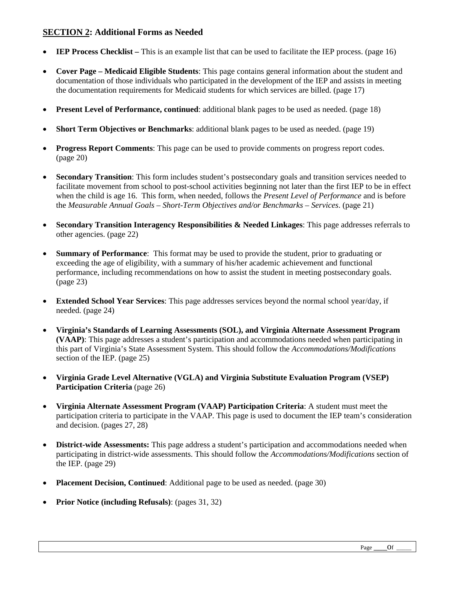## **SECTION 2: Additional Forms as Needed**

- **IEP Process Checklist** This is an example list that can be used to facilitate the IEP process. (page 16)
- **Cover Page Medicaid Eligible Students**: This page contains general information about the student and documentation of those individuals who participated in the development of the IEP and assists in meeting the documentation requirements for Medicaid students for which services are billed. (page 17)
- **Present Level of Performance, continued**: additional blank pages to be used as needed. (page 18)
- **Short Term Objectives or Benchmarks**: additional blank pages to be used as needed. (page 19)
- **Progress Report Comments**: This page can be used to provide comments on progress report codes. (page 20)
- **Secondary Transition**: This form includes student's postsecondary goals and transition services needed to facilitate movement from school to post-school activities beginning not later than the first IEP to be in effect when the child is age 16. This form, when needed, follows the *Present Level of Performance* and is before the *Measurable Annual Goals – Short-Term Objectives and/or Benchmarks – Services*. (page 21)
- **Secondary Transition Interagency Responsibilities & Needed Linkages**: This page addresses referrals to other agencies. (page 22)
- **Summary of Performance**: This format may be used to provide the student, prior to graduating or exceeding the age of eligibility, with a summary of his/her academic achievement and functional performance, including recommendations on how to assist the student in meeting postsecondary goals. (page 23)
- **Extended School Year Services**: This page addresses services beyond the normal school year/day, if needed. (page 24)
- **Virginia's Standards of Learning Assessments (SOL), and Virginia Alternate Assessment Program (VAAP)**: This page addresses a student's participation and accommodations needed when participating in this part of Virginia's State Assessment System. This should follow the *Accommodations/Modifications*  section of the IEP. (page 25)
- **Virginia Grade Level Alternative (VGLA) and Virginia Substitute Evaluation Program (VSEP) Participation Criteria** (page 26)
- **Virginia Alternate Assessment Program (VAAP) Participation Criteria**: A student must meet the participation criteria to participate in the VAAP. This page is used to document the IEP team's consideration and decision. (pages 27, 28)
- **District-wide Assessments:** This page address a student's participation and accommodations needed when participating in district-wide assessments. This should follow the *Accommodations/Modifications* section of the IEP. (page 29)
- **Placement Decision, Continued**: Additional page to be used as needed. (page 30)
- **Prior Notice (including Refusals)**: (pages 31, 32)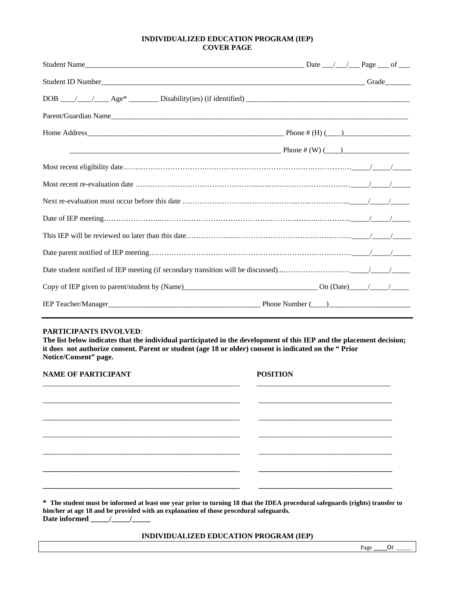## **INDIVIDUALIZED EDUCATION PROGRAM (IEP) COVER PAGE**

#### **PARTICIPANTS INVOLVED**:

**The list below indicates that the individual participated in the development of this IEP and the placement decision; it does not authorize consent. Parent or student (age 18 or older) consent is indicated on the " Prior Notice/Consent" page.** 

| <b>POSITION</b> |
|-----------------|
|                 |
|                 |
|                 |
|                 |
|                 |
|                 |
|                 |
|                 |

**him/her at age 18 and be provided with an explanation of those procedural safeguards. Date informed \_\_\_\_\_/\_\_\_\_\_/\_\_\_\_\_** 

## **INDIVIDUALIZED EDUCATION PROGRAM (IEP)**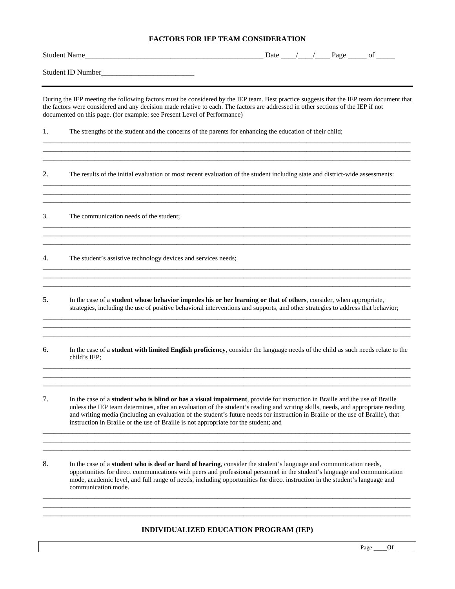#### **FACTORS FOR IEP TEAM CONSIDERATION**

| Student Name                                                                                                                            |  | Date $\angle$ $\angle$ $\angle$ Page of $\angle$ |  |
|-----------------------------------------------------------------------------------------------------------------------------------------|--|--------------------------------------------------|--|
| Student ID Number                                                                                                                       |  |                                                  |  |
| During the IEP meeting the following factors must be considered by the IEP team. Best practice suggests that the IEP team document that |  |                                                  |  |

the factors were considered and any decision made relative to each. The factors are addressed in other sections of the IEP if not documented on this page. (for example: see Present Level of Performance)

\_\_\_\_\_\_\_\_\_\_\_\_\_\_\_\_\_\_\_\_\_\_\_\_\_\_\_\_\_\_\_\_\_\_\_\_\_\_\_\_\_\_\_\_\_\_\_\_\_\_\_\_\_\_\_\_\_\_\_\_\_\_\_\_\_\_\_\_\_\_\_\_\_\_\_\_\_\_\_\_\_\_\_\_\_\_\_\_\_\_\_\_\_\_\_\_\_\_\_ \_\_\_\_\_\_\_\_\_\_\_\_\_\_\_\_\_\_\_\_\_\_\_\_\_\_\_\_\_\_\_\_\_\_\_\_\_\_\_\_\_\_\_\_\_\_\_\_\_\_\_\_\_\_\_\_\_\_\_\_\_\_\_\_\_\_\_\_\_\_\_\_\_\_\_\_\_\_\_\_\_\_\_\_\_\_\_\_\_\_\_\_\_\_\_\_\_\_\_ \_\_\_\_\_\_\_\_\_\_\_\_\_\_\_\_\_\_\_\_\_\_\_\_\_\_\_\_\_\_\_\_\_\_\_\_\_\_\_\_\_\_\_\_\_\_\_\_\_\_\_\_\_\_\_\_\_\_\_\_\_\_\_\_\_\_\_\_\_\_\_\_\_\_\_\_\_\_\_\_\_\_\_\_\_\_\_\_\_\_\_\_\_\_\_\_\_\_\_

\_\_\_\_\_\_\_\_\_\_\_\_\_\_\_\_\_\_\_\_\_\_\_\_\_\_\_\_\_\_\_\_\_\_\_\_\_\_\_\_\_\_\_\_\_\_\_\_\_\_\_\_\_\_\_\_\_\_\_\_\_\_\_\_\_\_\_\_\_\_\_\_\_\_\_\_\_\_\_\_\_\_\_\_\_\_\_\_\_\_\_\_\_\_\_\_\_\_\_ \_\_\_\_\_\_\_\_\_\_\_\_\_\_\_\_\_\_\_\_\_\_\_\_\_\_\_\_\_\_\_\_\_\_\_\_\_\_\_\_\_\_\_\_\_\_\_\_\_\_\_\_\_\_\_\_\_\_\_\_\_\_\_\_\_\_\_\_\_\_\_\_\_\_\_\_\_\_\_\_\_\_\_\_\_\_\_\_\_\_\_\_\_\_\_\_\_\_\_ \_\_\_\_\_\_\_\_\_\_\_\_\_\_\_\_\_\_\_\_\_\_\_\_\_\_\_\_\_\_\_\_\_\_\_\_\_\_\_\_\_\_\_\_\_\_\_\_\_\_\_\_\_\_\_\_\_\_\_\_\_\_\_\_\_\_\_\_\_\_\_\_\_\_\_\_\_\_\_\_\_\_\_\_\_\_\_\_\_\_\_\_\_\_\_\_\_\_\_

\_\_\_\_\_\_\_\_\_\_\_\_\_\_\_\_\_\_\_\_\_\_\_\_\_\_\_\_\_\_\_\_\_\_\_\_\_\_\_\_\_\_\_\_\_\_\_\_\_\_\_\_\_\_\_\_\_\_\_\_\_\_\_\_\_\_\_\_\_\_\_\_\_\_\_\_\_\_\_\_\_\_\_\_\_\_\_\_\_\_\_\_\_\_\_\_\_\_\_ \_\_\_\_\_\_\_\_\_\_\_\_\_\_\_\_\_\_\_\_\_\_\_\_\_\_\_\_\_\_\_\_\_\_\_\_\_\_\_\_\_\_\_\_\_\_\_\_\_\_\_\_\_\_\_\_\_\_\_\_\_\_\_\_\_\_\_\_\_\_\_\_\_\_\_\_\_\_\_\_\_\_\_\_\_\_\_\_\_\_\_\_\_\_\_\_\_\_\_ \_\_\_\_\_\_\_\_\_\_\_\_\_\_\_\_\_\_\_\_\_\_\_\_\_\_\_\_\_\_\_\_\_\_\_\_\_\_\_\_\_\_\_\_\_\_\_\_\_\_\_\_\_\_\_\_\_\_\_\_\_\_\_\_\_\_\_\_\_\_\_\_\_\_\_\_\_\_\_\_\_\_\_\_\_\_\_\_\_\_\_\_\_\_\_\_\_\_\_

\_\_\_\_\_\_\_\_\_\_\_\_\_\_\_\_\_\_\_\_\_\_\_\_\_\_\_\_\_\_\_\_\_\_\_\_\_\_\_\_\_\_\_\_\_\_\_\_\_\_\_\_\_\_\_\_\_\_\_\_\_\_\_\_\_\_\_\_\_\_\_\_\_\_\_\_\_\_\_\_\_\_\_\_\_\_\_\_\_\_\_\_\_\_\_\_\_\_\_ \_\_\_\_\_\_\_\_\_\_\_\_\_\_\_\_\_\_\_\_\_\_\_\_\_\_\_\_\_\_\_\_\_\_\_\_\_\_\_\_\_\_\_\_\_\_\_\_\_\_\_\_\_\_\_\_\_\_\_\_\_\_\_\_\_\_\_\_\_\_\_\_\_\_\_\_\_\_\_\_\_\_\_\_\_\_\_\_\_\_\_\_\_\_\_\_\_\_\_ \_\_\_\_\_\_\_\_\_\_\_\_\_\_\_\_\_\_\_\_\_\_\_\_\_\_\_\_\_\_\_\_\_\_\_\_\_\_\_\_\_\_\_\_\_\_\_\_\_\_\_\_\_\_\_\_\_\_\_\_\_\_\_\_\_\_\_\_\_\_\_\_\_\_\_\_\_\_\_\_\_\_\_\_\_\_\_\_\_\_\_\_\_\_\_\_\_\_\_

- 1. The strengths of the student and the concerns of the parents for enhancing the education of their child;
- 2. The results of the initial evaluation or most recent evaluation of the student including state and district-wide assessments:

3. The communication needs of the student;

4. The student's assistive technology devices and services needs;

- 5. In the case of a **student whose behavior impedes his or her learning or that of others**, consider, when appropriate, strategies, including the use of positive behavioral interventions and supports, and other strategies to address that behavior;
- 6. In the case of a **student with limited English proficiency**, consider the language needs of the child as such needs relate to the child's IEP; \_\_\_\_\_\_\_\_\_\_\_\_\_\_\_\_\_\_\_\_\_\_\_\_\_\_\_\_\_\_\_\_\_\_\_\_\_\_\_\_\_\_\_\_\_\_\_\_\_\_\_\_\_\_\_\_\_\_\_\_\_\_\_\_\_\_\_\_\_\_\_\_\_\_\_\_\_\_\_\_\_\_\_\_\_\_\_\_\_\_\_\_\_\_\_\_\_\_\_

\_\_\_\_\_\_\_\_\_\_\_\_\_\_\_\_\_\_\_\_\_\_\_\_\_\_\_\_\_\_\_\_\_\_\_\_\_\_\_\_\_\_\_\_\_\_\_\_\_\_\_\_\_\_\_\_\_\_\_\_\_\_\_\_\_\_\_\_\_\_\_\_\_\_\_\_\_\_\_\_\_\_\_\_\_\_\_\_\_\_\_\_\_\_\_\_\_\_\_ \_\_\_\_\_\_\_\_\_\_\_\_\_\_\_\_\_\_\_\_\_\_\_\_\_\_\_\_\_\_\_\_\_\_\_\_\_\_\_\_\_\_\_\_\_\_\_\_\_\_\_\_\_\_\_\_\_\_\_\_\_\_\_\_\_\_\_\_\_\_\_\_\_\_\_\_\_\_\_\_\_\_\_\_\_\_\_\_\_\_\_\_\_\_\_\_\_\_\_

\_\_\_\_\_\_\_\_\_\_\_\_\_\_\_\_\_\_\_\_\_\_\_\_\_\_\_\_\_\_\_\_\_\_\_\_\_\_\_\_\_\_\_\_\_\_\_\_\_\_\_\_\_\_\_\_\_\_\_\_\_\_\_\_\_\_\_\_\_\_\_\_\_\_\_\_\_\_\_\_\_\_\_\_\_\_\_\_\_\_\_\_\_\_\_\_\_\_\_

\_\_\_\_\_\_\_\_\_\_\_\_\_\_\_\_\_\_\_\_\_\_\_\_\_\_\_\_\_\_\_\_\_\_\_\_\_\_\_\_\_\_\_\_\_\_\_\_\_\_\_\_\_\_\_\_\_\_\_\_\_\_\_\_\_\_\_\_\_\_\_\_\_\_\_\_\_\_\_\_\_\_\_\_\_\_\_\_\_\_\_\_\_\_\_\_\_\_\_

7. In the case of a **student who is blind or has a visual impairment**, provide for instruction in Braille and the use of Braille unless the IEP team determines, after an evaluation of the student's reading and writing skills, needs, and appropriate reading and writing media (including an evaluation of the student's future needs for instruction in Braille or the use of Braille), that instruction in Braille or the use of Braille is not appropriate for the student; and

\_\_\_\_\_\_\_\_\_\_\_\_\_\_\_\_\_\_\_\_\_\_\_\_\_\_\_\_\_\_\_\_\_\_\_\_\_\_\_\_\_\_\_\_\_\_\_\_\_\_\_\_\_\_\_\_\_\_\_\_\_\_\_\_\_\_\_\_\_\_\_\_\_\_\_\_\_\_\_\_\_\_\_\_\_\_\_\_\_\_\_\_\_\_\_\_\_\_\_ \_\_\_\_\_\_\_\_\_\_\_\_\_\_\_\_\_\_\_\_\_\_\_\_\_\_\_\_\_\_\_\_\_\_\_\_\_\_\_\_\_\_\_\_\_\_\_\_\_\_\_\_\_\_\_\_\_\_\_\_\_\_\_\_\_\_\_\_\_\_\_\_\_\_\_\_\_\_\_\_\_\_\_\_\_\_\_\_\_\_\_\_\_\_\_\_\_\_\_ \_\_\_\_\_\_\_\_\_\_\_\_\_\_\_\_\_\_\_\_\_\_\_\_\_\_\_\_\_\_\_\_\_\_\_\_\_\_\_\_\_\_\_\_\_\_\_\_\_\_\_\_\_\_\_\_\_\_\_\_\_\_\_\_\_\_\_\_\_\_\_\_\_\_\_\_\_\_\_\_\_\_\_\_\_\_\_\_\_\_\_\_\_\_\_\_\_\_\_

8. In the case of a **student who is deaf or hard of hearing**, consider the student's language and communication needs, opportunities for direct communications with peers and professional personnel in the student's language and communication mode, academic level, and full range of needs, including opportunities for direct instruction in the student's language and communication mode.

\_\_\_\_\_\_\_\_\_\_\_\_\_\_\_\_\_\_\_\_\_\_\_\_\_\_\_\_\_\_\_\_\_\_\_\_\_\_\_\_\_\_\_\_\_\_\_\_\_\_\_\_\_\_\_\_\_\_\_\_\_\_\_\_\_\_\_\_\_\_\_\_\_\_\_\_\_\_\_\_\_\_\_\_\_\_\_\_\_\_\_\_\_\_\_\_\_\_\_ \_\_\_\_\_\_\_\_\_\_\_\_\_\_\_\_\_\_\_\_\_\_\_\_\_\_\_\_\_\_\_\_\_\_\_\_\_\_\_\_\_\_\_\_\_\_\_\_\_\_\_\_\_\_\_\_\_\_\_\_\_\_\_\_\_\_\_\_\_\_\_\_\_\_\_\_\_\_\_\_\_\_\_\_\_\_\_\_\_\_\_\_\_\_\_\_\_\_\_ \_\_\_\_\_\_\_\_\_\_\_\_\_\_\_\_\_\_\_\_\_\_\_\_\_\_\_\_\_\_\_\_\_\_\_\_\_\_\_\_\_\_\_\_\_\_\_\_\_\_\_\_\_\_\_\_\_\_\_\_\_\_\_\_\_\_\_\_\_\_\_\_\_\_\_\_\_\_\_\_\_\_\_\_\_\_\_\_\_\_\_\_\_\_\_\_\_\_\_

#### **INDIVIDUALIZED EDUCATION PROGRAM (IEP)**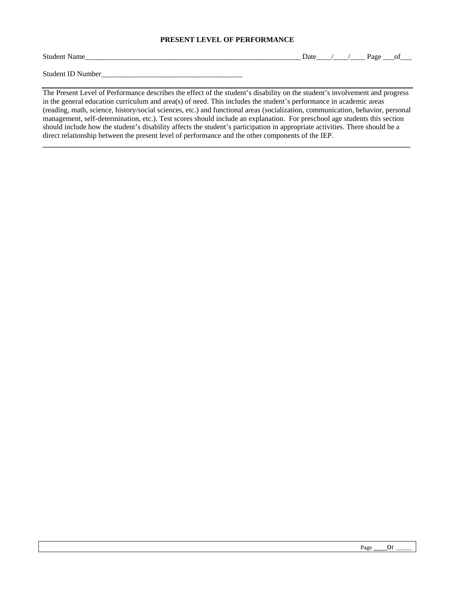#### **PRESENT LEVEL OF PERFORMANCE**

Student Name\_\_\_\_\_\_\_\_\_\_\_\_\_\_\_\_\_\_\_\_\_\_\_\_\_\_\_\_\_\_\_\_\_\_\_\_\_\_\_\_\_\_\_\_\_\_\_\_\_\_\_\_\_\_\_\_\_\_ Date\_\_\_\_/\_\_\_\_/\_\_\_\_ Page \_\_\_of\_\_\_

Student ID Number\_\_\_\_\_\_\_\_\_\_\_\_\_\_\_\_\_\_\_\_\_\_\_\_\_\_\_\_\_\_\_\_\_\_\_\_\_\_

The Present Level of Performance describes the effect of the student's disability on the student's involvement and progress in the general education curriculum and area(s) of need. This includes the student's performance in academic areas (reading, math, science, history/social sciences, etc.) and functional areas (socialization, communication, behavior, personal management, self-determination, etc.). Test scores should include an explanation. For preschool age students this section should include how the student's disability affects the student's participation in appropriate activities. There should be a direct relationship between the present level of performance and the other components of the IEP.

**\_\_\_\_\_\_\_\_\_\_\_\_\_\_\_\_\_\_\_\_\_\_\_\_\_\_\_\_\_\_\_\_\_\_\_\_\_\_\_\_\_\_\_\_\_\_\_\_\_\_\_\_\_\_\_\_\_\_\_\_\_\_\_\_\_\_\_\_\_\_\_\_\_\_\_\_\_\_\_\_\_\_\_\_\_\_\_\_\_\_\_\_\_\_\_\_\_\_\_**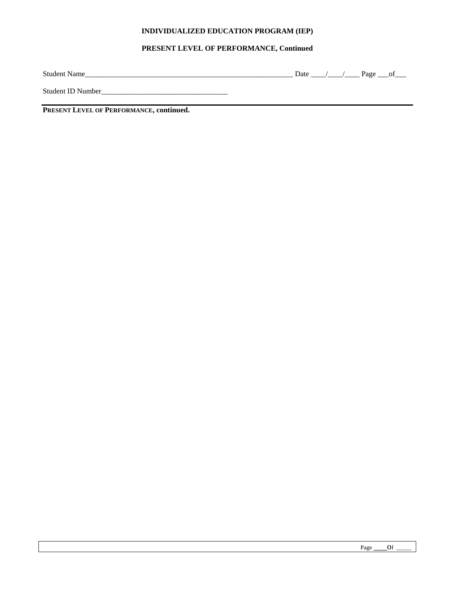## **PRESENT LEVEL OF PERFORMANCE, Continued**

| --<br>___<br>______ |
|---------------------|
|---------------------|

Student ID Number\_\_\_\_\_\_\_\_\_\_\_\_\_\_\_\_\_\_\_\_\_\_\_\_\_\_\_\_\_\_\_\_\_\_

**PRESENT LEVEL OF PERFORMANCE, continued.**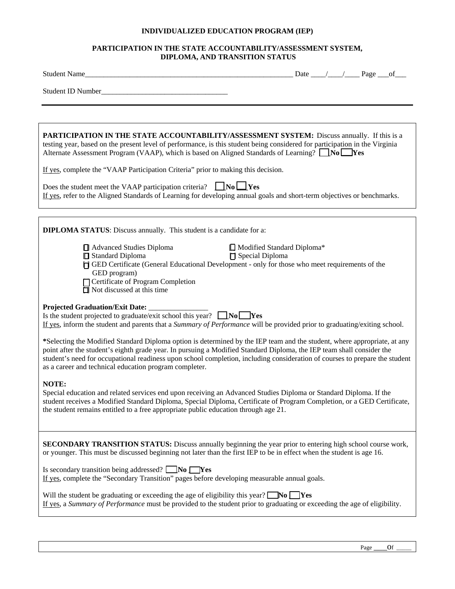#### **PARTICIPATION IN THE STATE ACCOUNTABILITY/ASSESSMENT SYSTEM, DIPLOMA, AND TRANSITION STATUS**

| $\frac{1}{2}$ Date $\frac{1}{2}$ Page of<br>Student Name                                                                                                                                                                                                                                                                                                                                                                                   |
|--------------------------------------------------------------------------------------------------------------------------------------------------------------------------------------------------------------------------------------------------------------------------------------------------------------------------------------------------------------------------------------------------------------------------------------------|
| Student ID Number                                                                                                                                                                                                                                                                                                                                                                                                                          |
|                                                                                                                                                                                                                                                                                                                                                                                                                                            |
| PARTICIPATION IN THE STATE ACCOUNTABILITY/ASSESSMENT SYSTEM: Discuss annually. If this is a<br>testing year, based on the present level of performance, is this student being considered for participation in the Virginia<br>Alternate Assessment Program (VAAP), which is based on Aligned Standards of Learning? $\Box$ No $\Box$ Yes<br>If yes, complete the "VAAP Participation Criteria" prior to making this decision.              |
| Does the student meet the VAAP participation criteria? $\Box$ No $\Box$ Yes<br>If yes, refer to the Aligned Standards of Learning for developing annual goals and short-term objectives or benchmarks.                                                                                                                                                                                                                                     |
|                                                                                                                                                                                                                                                                                                                                                                                                                                            |
| <b>DIPLOMA STATUS:</b> Discuss annually. This student is a candidate for a:                                                                                                                                                                                                                                                                                                                                                                |
| Advanced Studies Diploma<br>Modified Standard Diploma*<br>Special Diploma<br><b>□</b> Standard Diploma<br><b>FI</b> GED Certificate (General Educational Development - only for those who meet requirements of the<br>GED program)<br>Certificate of Program Completion<br>$\overline{\Box}$ Not discussed at this time                                                                                                                    |
| Projected Graduation/Exit Date: _____<br>Is the student projected to graduate/exit school this year? $\Box$ No $\Box$ Yes<br>If yes, inform the student and parents that a Summary of Performance will be provided prior to graduating/exiting school.                                                                                                                                                                                     |
| *Selecting the Modified Standard Diploma option is determined by the IEP team and the student, where appropriate, at any<br>point after the student's eighth grade year. In pursuing a Modified Standard Diploma, the IEP team shall consider the<br>student's need for occupational readiness upon school completion, including consideration of courses to prepare the student<br>as a career and technical education program completer. |
| NOTE:<br>Special education and related services end upon receiving an Advanced Studies Diploma or Standard Diploma. If the<br>student receives a Modified Standard Diploma, Special Diploma, Certificate of Program Completion, or a GED Certificate,<br>the student remains entitled to a free appropriate public education through age 21.                                                                                               |
| <b>SECONDARY TRANSITION STATUS:</b> Discuss annually beginning the year prior to entering high school course work,<br>or younger. This must be discussed beginning not later than the first IEP to be in effect when the student is age 16.                                                                                                                                                                                                |
| Is secondary transition being addressed? $\Box$ No $\Box$ Yes<br>If yes, complete the "Secondary Transition" pages before developing measurable annual goals.                                                                                                                                                                                                                                                                              |
| Will the student be graduating or exceeding the age of eligibility this year? $\Box$ No $\Box$ Yes<br>If yes, a Summary of Performance must be provided to the student prior to graduating or exceeding the age of eligibility.                                                                                                                                                                                                            |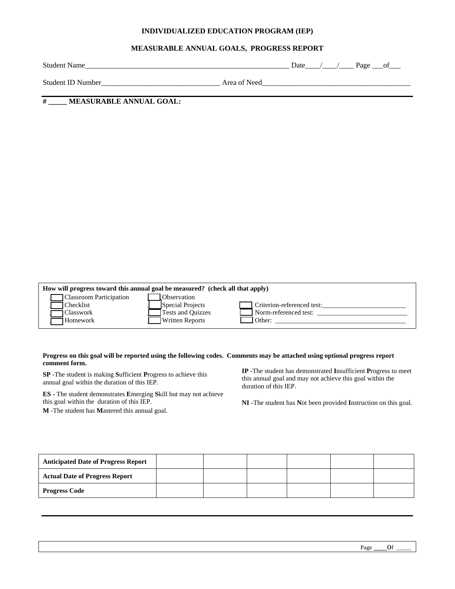#### **MEASURABLE ANNUAL GOALS, PROGRESS REPORT**

| <b>Student Name</b>      |              | Date | Page | 0Ī |
|--------------------------|--------------|------|------|----|
| <b>Student ID Number</b> | Area of Need |      |      |    |

## **# \_\_\_\_\_ MEASURABLE ANNUAL GOAL:**

| How will progress toward this annual goal be measured? (check all that apply) |                          |                            |
|-------------------------------------------------------------------------------|--------------------------|----------------------------|
| <b>Classroom Participation</b>                                                | Observation              |                            |
| Checklist                                                                     | Special Projects         | Criterion-referenced test: |
| <b>Classwork</b>                                                              | <b>Tests and Quizzes</b> | Norm-referenced test:      |
| l Homework                                                                    | <b>Written Reports</b>   | I Other:                   |

#### **Progress on this goal will be reported using the following codes. Comments may be attached using optional progress report comment form.**

**SP** -The student is making **S**ufficient **P**rogress to achieve this annual goal within the duration of this IEP.

**ES -** The student demonstrates **E**merging **S**kill but may not achieve this goal within the duration of this IEP.

**M** -The student has **M**astered this annual goal.

**IP -**The student has demonstrated **I**nsufficient **P**rogress to meet this annual goal and may not achieve this goal within the duration of this IEP.

**NI -**The student has **N**ot been provided **I**nstruction on this goal.

| <b>Anticipated Date of Progress Report</b> |  |  |  |
|--------------------------------------------|--|--|--|
| <b>Actual Date of Progress Report</b>      |  |  |  |
| <b>Progress Code</b>                       |  |  |  |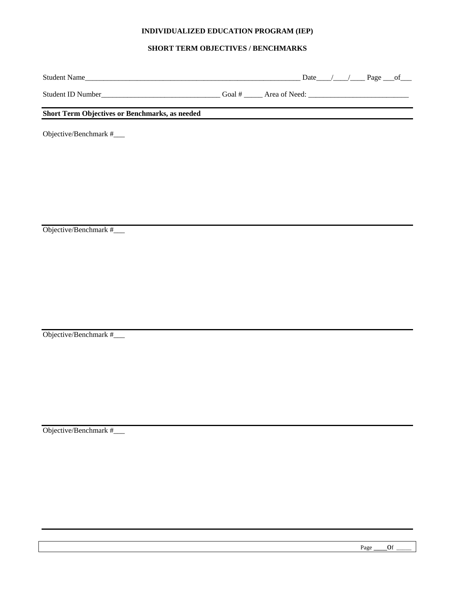## **SHORT TERM OBJECTIVES / BENCHMARKS**

| <b>Student Name</b>                                                                                                             | Date                 | $Page$ of |  |
|---------------------------------------------------------------------------------------------------------------------------------|----------------------|-----------|--|
| <b>Student ID Number</b>                                                                                                        | Goal # Area of Need: |           |  |
| ____<br>____<br>the contract of the contract of the contract of the contract of the contract of the contract of the contract of |                      |           |  |

**Short Term Objectives or Benchmarks, as needed** 

Objective/Benchmark #\_\_\_

Objective/Benchmark #\_\_\_

Objective/Benchmark #\_\_\_

Objective/Benchmark #\_\_\_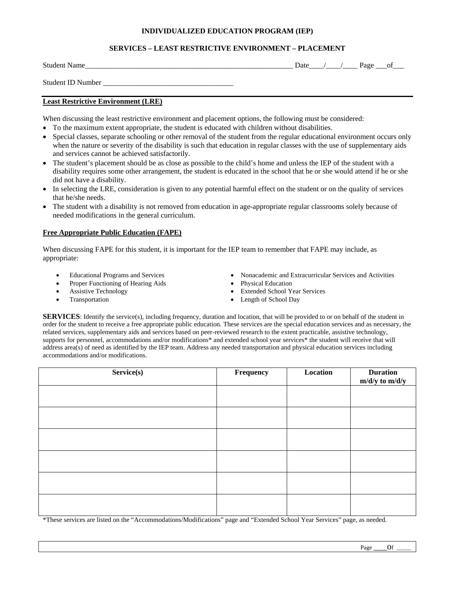#### **SERVICES – LEAST RESTRICTIVE ENVIRONMENT – PLACEMENT**

| <b>Student Name</b>      | Date | Page of |
|--------------------------|------|---------|
| <b>Student ID Number</b> |      |         |

#### **Least Restrictive Environment (LRE)**

When discussing the least restrictive environment and placement options, the following must be considered:

- To the maximum extent appropriate, the student is educated with children without disabilities.
- Special classes, separate schooling or other removal of the student from the regular educational environment occurs only when the nature or severity of the disability is such that education in regular classes with the use of supplementary aids and services cannot be achieved satisfactorily.
- The student's placement should be as close as possible to the child's home and unless the IEP of the student with a disability requires some other arrangement, the student is educated in the school that he or she would attend if he or she did not have a disability.
- In selecting the LRE, consideration is given to any potential harmful effect on the student or on the quality of services that he/she needs.
- The student with a disability is not removed from education in age-appropriate regular classrooms solely because of needed modifications in the general curriculum.

#### **Free Appropriate Public Education (FAPE)**

When discussing FAPE for this student, it is important for the IEP team to remember that FAPE may include, as appropriate:

- Educational Programs and Services
- Proper Functioning of Hearing Aids
- Assistive Technology
- Transportation
- Nonacademic and Extracurricular Services and Activities
- Physical Education
- Extended School Year Services
- Length of School Day

**SERVICES**: Identify the service(s), including frequency, duration and location, that will be provided to or on behalf of the student in order for the student to receive a free appropriate public education. These services are the special education services and as necessary, the related services, supplementary aids and services based on peer-reviewed research to the extent practicable, assistive technology, supports for personnel, accommodations and/or modifications\* and extended school year services\* the student will receive that will address area(s) of need as identified by the IEP team. Address any needed transportation and physical education services including accommodations and/or modifications.

| Service(s) | Frequency | Location | Duration<br>m/d/y to m/d/y |
|------------|-----------|----------|----------------------------|
|            |           |          |                            |
|            |           |          |                            |
|            |           |          |                            |
|            |           |          |                            |
|            |           |          |                            |
|            |           |          |                            |

\*These services are listed on the "Accommodations/Modifications" page and "Extended School Year Services" page, as needed.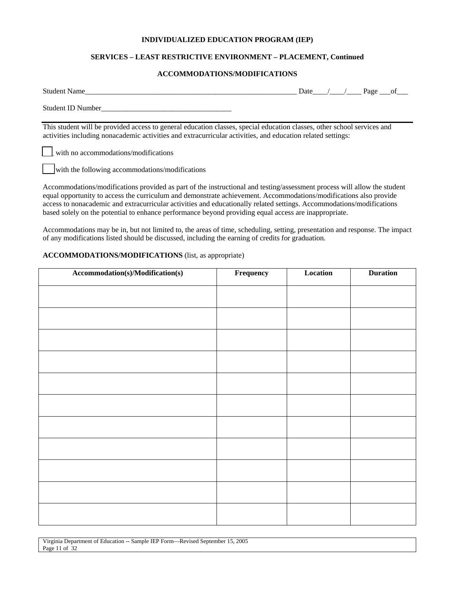### **SERVICES – LEAST RESTRICTIVE ENVIRONMENT – PLACEMENT, Continued**

## **ACCOMMODATIONS/MODIFICATIONS**

| <b>Student Name</b>      | Joto |  | $P_{300}$ |  |
|--------------------------|------|--|-----------|--|
| <b>Student ID Number</b> |      |  |           |  |

This student will be provided access to general education classes, special education classes, other school services and activities including nonacademic activities and extracurricular activities, and education related settings:

with no accommodations/modifications

with the following accommodations/modifications

Accommodations/modifications provided as part of the instructional and testing/assessment process will allow the student equal opportunity to access the curriculum and demonstrate achievement. Accommodations/modifications also provide access to nonacademic and extracurricular activities and educationally related settings. Accommodations/modifications based solely on the potential to enhance performance beyond providing equal access are inappropriate.

Accommodations may be in, but not limited to, the areas of time, scheduling, setting, presentation and response. The impact of any modifications listed should be discussed, including the earning of credits for graduation.

#### **ACCOMMODATIONS/MODIFICATIONS** (list, as appropriate)

| Accommodation(s)/Modification(s) | Frequency | Location | <b>Duration</b> |
|----------------------------------|-----------|----------|-----------------|
|                                  |           |          |                 |
|                                  |           |          |                 |
|                                  |           |          |                 |
|                                  |           |          |                 |
|                                  |           |          |                 |
|                                  |           |          |                 |
|                                  |           |          |                 |
|                                  |           |          |                 |
|                                  |           |          |                 |
|                                  |           |          |                 |
|                                  |           |          |                 |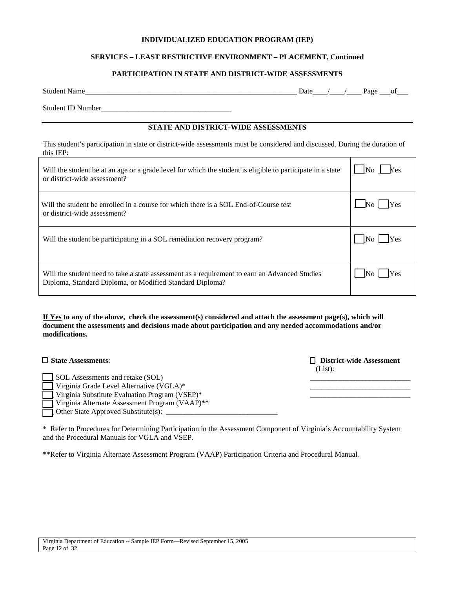## **SERVICES – LEAST RESTRICTIVE ENVIRONMENT – PLACEMENT, Continued**

#### **PARTICIPATION IN STATE AND DISTRICT-WIDE ASSESSMENTS**

| <b>Student Name</b> |  |
|---------------------|--|
|---------------------|--|

Date  $\sqrt{2\pi}$  Page of

Student ID Number\_\_\_\_\_\_\_\_\_\_\_\_\_\_\_\_\_\_\_\_\_\_\_\_\_\_\_\_\_\_\_\_\_\_\_

## **STATE AND DISTRICT-WIDE ASSESSMENTS**

This student's participation in state or district-wide assessments must be considered and discussed. During the duration of this IEP:

| Will the student be at an age or a grade level for which the student is eligible to participate in a state<br>or district-wide assessment?                | $\overline{N_{0}}$ $\overline{Y_{es}}$ |
|-----------------------------------------------------------------------------------------------------------------------------------------------------------|----------------------------------------|
| Will the student be enrolled in a course for which there is a SOL End-of-Course test<br>or district-wide assessment?                                      | Yes                                    |
| Will the student be participating in a SOL remediation recovery program?                                                                                  | Yes<br>$\overline{\rm No}$             |
| Will the student need to take a state assessment as a requirement to earn an Advanced Studies<br>Diploma, Standard Diploma, or Modified Standard Diploma? | <b>Yes</b><br>$N_0$                    |

**If Yes to any of the above, check the assessment(s) considered and attach the assessment page(s), which will document the assessments and decisions made about participation and any needed accommodations and/or modifications.** 

|  |  | $\Box$ State Assessments: |
|--|--|---------------------------|
|--|--|---------------------------|

Ι

\_\_\_ SOL Assessments and retake (SOL) \_\_\_\_\_\_\_\_\_\_\_\_\_\_\_\_\_\_\_\_\_\_\_\_\_\_\_ Virginia Grade Level Alternative (VGLA)\* Virginia Substitute Evaluation Program (VSEP)\* Virginia Alternate Assessment Program (VAAP)\*\*  $\Box$  Other State Approved Substitute(s):  $\Box$  District-wide Assessment (List):

\* Refer to Procedures for Determining Participation in the Assessment Component of Virginia's Accountability System and the Procedural Manuals for VGLA and VSEP*.*

\*\*Refer to Virginia Alternate Assessment Program (VAAP) Participation Criteria and Procedural Manual*.*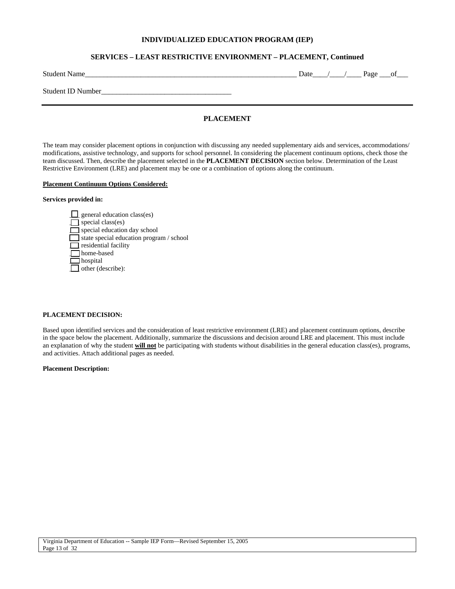#### **SERVICES – LEAST RESTRICTIVE ENVIRONMENT – PLACEMENT, Continued**

Student Name\_\_\_\_\_\_\_\_\_\_\_\_\_\_\_\_\_\_\_\_\_\_\_\_\_\_\_\_\_\_\_\_\_\_\_\_\_\_\_\_\_\_\_\_\_\_\_\_\_\_\_\_\_\_\_\_\_ Date\_\_\_\_/\_\_\_\_/\_\_\_\_ Page \_\_\_of\_\_\_

Student ID Number\_\_\_\_\_\_\_\_\_\_\_\_\_\_\_\_\_\_\_\_\_\_\_\_\_\_\_\_\_\_\_\_\_\_\_

## **PLACEMENT**

The team may consider placement options in conjunction with discussing any needed supplementary aids and services, accommodations/ modifications, assistive technology, and supports for school personnel. In considering the placement continuum options, check those the team discussed. Then, describe the placement selected in the **PLACEMENT DECISION** section below. Determination of the Least Restrictive Environment (LRE) and placement may be one or a combination of options along the continuum.

#### **Placement Continuum Options Considered:**

**Services provided in:** 

| $\Box$ general education class(es)       |
|------------------------------------------|
| $\Box$ special class(es)                 |
| $\Box$ special education day school      |
| state special education program / school |
| $\Box$ residential facility              |
| home-based                               |
| hospital                                 |
| other (describe):                        |

#### **PLACEMENT DECISION:**

Based upon identified services and the consideration of least restrictive environment (LRE) and placement continuum options, describe in the space below the placement. Additionally, summarize the discussions and decision around LRE and placement. This must include an explanation of why the student **will not** be participating with students without disabilities in the general education class(es), programs, and activities. Attach additional pages as needed.

#### **Placement Description:**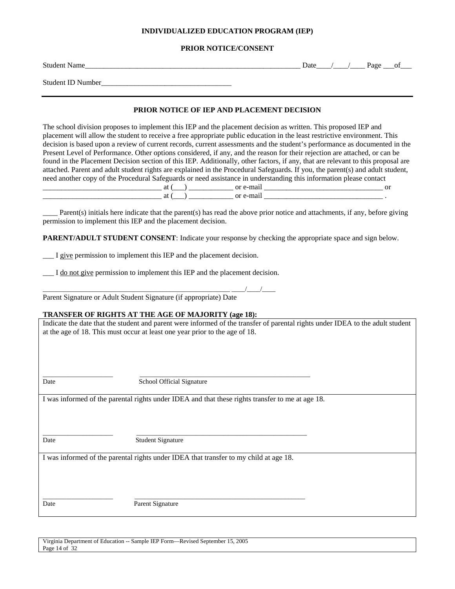### **PRIOR NOTICE/CONSENT**

| <b>Student Name</b> | Date |  | Page of |  |
|---------------------|------|--|---------|--|
| Student ID Number   |      |  |         |  |

#### **PRIOR NOTICE OF IEP AND PLACEMENT DECISION**

The school division proposes to implement this IEP and the placement decision as written. This proposed IEP and placement will allow the student to receive a free appropriate public education in the least restrictive environment. This decision is based upon a review of current records, current assessments and the student's performance as documented in the Present Level of Performance. Other options considered, if any, and the reason for their rejection are attached, or can be found in the Placement Decision section of this IEP. Additionally, other factors, if any, that are relevant to this proposal are attached. Parent and adult student rights are explained in the Procedural Safeguards. If you, the parent(s) and adult student, need another copy of the Procedural Safeguards or need assistance in understanding this information please contact  $\qquad \qquad \text{at } (\_\_) \_\_$  $at ($   $)$  or e-mail  $\overline{a}$ 

\_\_\_\_ Parent(s) initials here indicate that the parent(s) has read the above prior notice and attachments, if any, before giving permission to implement this IEP and the placement decision.

**PARENT/ADULT STUDENT CONSENT:** Indicate your response by checking the appropriate space and sign below.

\_\_\_ I give permission to implement this IEP and the placement decision.

\_\_\_ I do not give permission to implement this IEP and the placement decision.

\_\_\_\_\_\_\_\_\_\_\_\_\_\_\_\_\_\_\_\_\_\_\_\_\_\_\_\_\_\_\_\_\_\_\_\_\_\_\_\_\_\_\_\_\_\_\_\_\_\_\_\_\_\_\_\_ \_\_\_\_/\_\_\_\_/\_\_\_\_

Parent Signature or Adult Student Signature (if appropriate) Date

#### **TRANSFER OF RIGHTS AT THE AGE OF MAJORITY (age 18):**

Indicate the date that the student and parent were informed of the transfer of parental rights under IDEA to the adult student at the age of 18. This must occur at least one year prior to the age of 18.

\_\_\_\_\_\_\_\_\_\_\_\_\_\_\_\_\_\_\_\_\_ \_\_\_\_\_\_\_\_\_\_\_\_\_\_\_\_\_\_\_\_\_\_\_\_\_\_\_\_\_\_\_\_\_\_\_\_\_\_\_\_\_\_\_\_\_\_\_\_\_\_\_ Date School Official Signature

I was informed of the parental rights under IDEA and that these rights transfer to me at age 18.

\_\_\_\_\_\_\_\_\_\_\_\_\_\_\_\_\_\_\_\_\_ \_\_\_\_\_\_\_\_\_\_\_\_\_\_\_\_\_\_\_\_\_\_\_\_\_\_\_\_\_\_\_\_\_\_\_\_\_\_\_\_\_\_\_\_\_\_\_\_\_\_\_

Date Student Signature

I was informed of the parental rights under IDEA that transfer to my child at age 18.

\_\_\_\_\_\_\_\_\_\_\_\_\_\_\_\_\_\_\_\_\_ \_\_\_\_\_\_\_\_\_\_\_\_\_\_\_\_\_\_\_\_\_\_\_\_\_\_\_\_\_\_\_\_\_\_\_\_\_\_\_\_\_\_\_\_\_\_\_\_\_\_\_

Date Parent Signature

Virginia Department of Education -- Sample IEP Form—Revised September 15, 2005 Page 14 of 32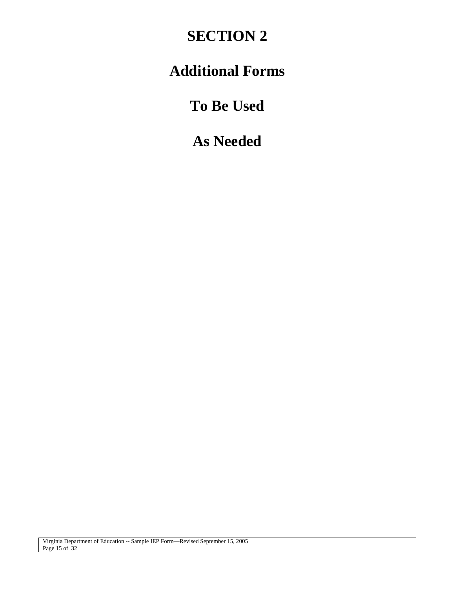## **SECTION 2**

## **Additional Forms**

# **To Be Used**

## **As Needed**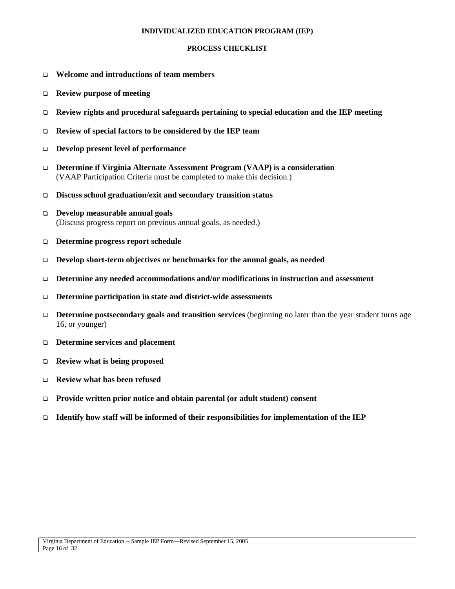#### **PROCESS CHECKLIST**

- **Welcome and introductions of team members**
- **Review purpose of meeting**
- **Review rights and procedural safeguards pertaining to special education and the IEP meeting**
- **Review of special factors to be considered by the IEP team**
- **Develop present level of performance**
- **Determine if Virginia Alternate Assessment Program (VAAP) is a consideration** (VAAP Participation Criteria must be completed to make this decision.)
- **Discuss school graduation/exit and secondary transition status**
- **Develop measurable annual goals** (Discuss progress report on previous annual goals, as needed.)
- **Determine progress report schedule**
- **Develop short-term objectives or benchmarks for the annual goals, as needed**
- **Determine any needed accommodations and/or modifications in instruction and assessment**
- **Determine participation in state and district-wide assessments**
- **Determine postsecondary goals and transition services** (beginning no later than the year student turns age 16, or younger)
- **Determine services and placement**
- **Review what is being proposed**
- **Review what has been refused**
- **Provide written prior notice and obtain parental (or adult student) consent**
- **Identify how staff will be informed of their responsibilities for implementation of the IEP**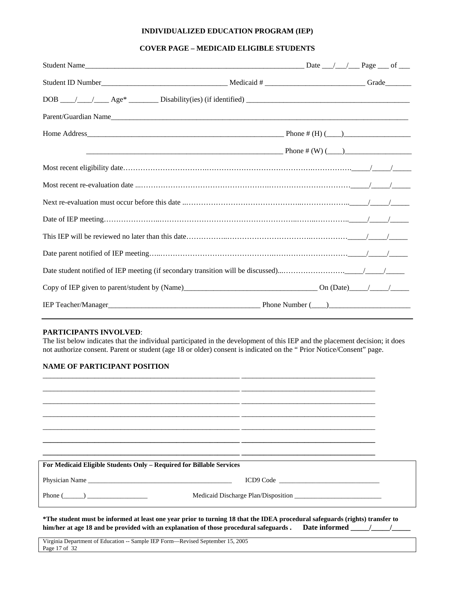#### **COVER PAGE – MEDICAID ELIGIBLE STUDENTS**

| Parent/Guardian Name |  |  |
|----------------------|--|--|
|                      |  |  |
|                      |  |  |
|                      |  |  |
|                      |  |  |
|                      |  |  |
|                      |  |  |
|                      |  |  |
|                      |  |  |
|                      |  |  |
|                      |  |  |
|                      |  |  |

#### **PARTICIPANTS INVOLVED**:

The list below indicates that the individual participated in the development of this IEP and the placement decision; it does not authorize consent. Parent or student (age 18 or older) consent is indicated on the " Prior Notice/Consent" page.

#### **NAME OF PARTICIPANT POSITION**

| For Medicaid Eligible Students Only - Required for Billable Services |           |  |
|----------------------------------------------------------------------|-----------|--|
| Physician Name                                                       | ICD9 Code |  |
| Phone $($ )                                                          |           |  |

**\*The student must be informed at least one year prior to turning 18 that the IDEA procedural safeguards (rights) transfer to**  him/her at age 18 and be provided with an explanation of those procedural safeguards . Date informed \_\_\_\_\_/\_\_\_\_/

Virginia Department of Education -- Sample IEP Form—Revised September 15, 2005 Page 17 of 32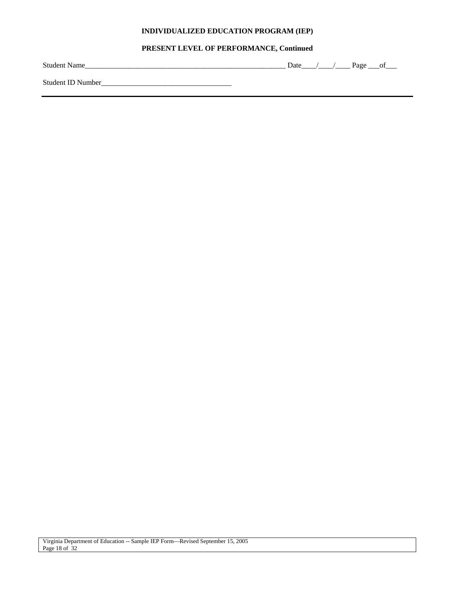## **PRESENT LEVEL OF PERFORMANCE, Continued**

Student Name\_\_\_\_\_\_\_\_\_\_\_\_\_\_\_\_\_\_\_\_\_\_\_\_\_\_\_\_\_\_\_\_\_\_\_\_\_\_\_\_\_\_\_\_\_\_\_\_\_\_\_\_\_\_ Date\_\_\_\_/\_\_\_\_/\_\_\_\_ Page \_\_\_of\_\_\_

Student ID Number\_\_\_\_\_\_\_\_\_\_\_\_\_\_\_\_\_\_\_\_\_\_\_\_\_\_\_\_\_\_\_\_\_\_\_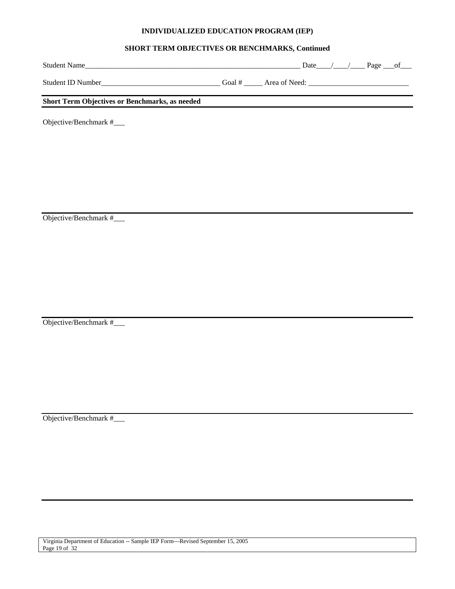## **SHORT TERM OBJECTIVES OR BENCHMARKS, Continued**

| Student Name                                          |                      | Date $\_\_\_\_\_\_\_\_\_\_\_\_\_\_\_\_\_\_\_$ |  |  |
|-------------------------------------------------------|----------------------|-----------------------------------------------|--|--|
| Student ID Number                                     | Goal # Area of Need: |                                               |  |  |
| <b>Short Term Objectives or Benchmarks, as needed</b> |                      |                                               |  |  |
| Objective/Benchmark $\#$                              |                      |                                               |  |  |

Objective/Benchmark #\_\_\_

Objective/Benchmark #\_\_\_

Objective/Benchmark #\_\_\_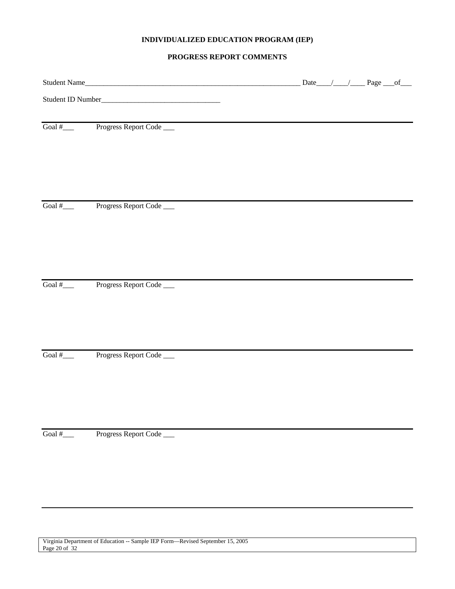#### **PROGRESS REPORT COMMENTS**

| Goal $\#$ <sub>____</sub> | Progress Report Code |  |  |  |
|---------------------------|----------------------|--|--|--|
|                           |                      |  |  |  |
| Goal $\frac{4}{x}$        | Progress Report Code |  |  |  |

Virginia Department of Education -- Sample IEP Form—Revised September 15, 2005 Page 20 of 32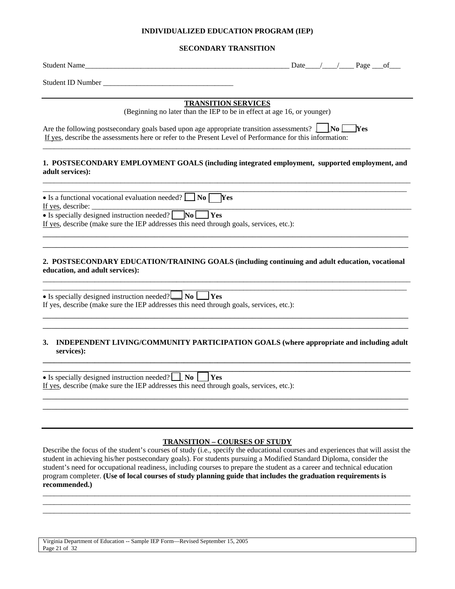#### **SECONDARY TRANSITION**

| Student Name                                                                                                                                                                                                                 | Date $/$ $/$ $\qquad$ Page of |
|------------------------------------------------------------------------------------------------------------------------------------------------------------------------------------------------------------------------------|-------------------------------|
| Student ID Number                                                                                                                                                                                                            |                               |
| <b>TRANSITION SERVICES</b><br>(Beginning no later than the IEP to be in effect at age 16, or younger)                                                                                                                        |                               |
| Are the following postsecondary goals based upon age appropriate transition assessments? $\Box$ No $\square$ Yes<br>If yes, describe the assessments here or refer to the Present Level of Performance for this information: |                               |
| 1. POSTSECONDARY EMPLOYMENT GOALS (including integrated employment, supported employment, and<br>adult services):                                                                                                            |                               |
| • Is a functional vocational evaluation needed? $\Box$ No<br><b>Yes</b><br>If yes, describe: $\Box$<br>• Is specially designed instruction needed? $\Box$ No $\Box$ Yes                                                      |                               |
| If yes, describe (make sure the IEP addresses this need through goals, services, etc.):                                                                                                                                      |                               |
|                                                                                                                                                                                                                              |                               |

#### **2. POSTSECONDARY EDUCATION/TRAINING GOALS (including continuing and adult education, vocational education, and adult services):**  \_\_\_\_\_\_\_\_\_\_\_\_\_\_\_\_\_\_\_\_\_\_\_\_\_\_\_\_\_\_\_\_\_\_\_\_\_\_\_\_\_\_\_\_\_\_\_\_\_\_\_\_\_\_\_\_\_\_\_\_\_\_\_\_\_\_\_\_\_\_\_\_\_\_\_\_\_\_\_\_\_\_\_\_\_\_\_\_\_\_\_\_\_\_\_\_\_\_\_

 $\_$  ,  $\_$  ,  $\_$  ,  $\_$  ,  $\_$  ,  $\_$  ,  $\_$  ,  $\_$  ,  $\_$  ,  $\_$  ,  $\_$  ,  $\_$  ,  $\_$  ,  $\_$  ,  $\_$  ,  $\_$  ,  $\_$  ,  $\_$  ,  $\_$  ,  $\_$  ,  $\_$  ,  $\_$  ,  $\_$  ,  $\_$  ,  $\_$  ,  $\_$  ,  $\_$  ,  $\_$  ,  $\_$  ,  $\_$  ,  $\_$  ,  $\_$  ,  $\_$  ,  $\_$  ,  $\_$  ,  $\_$  ,  $\_$  ,

\_\_\_\_\_\_\_\_\_\_\_\_\_\_\_\_\_\_\_\_\_\_\_\_\_\_\_\_\_\_\_\_\_\_\_\_\_\_\_\_\_\_\_\_\_\_\_\_\_\_\_\_\_\_\_\_\_\_\_\_\_\_\_\_\_\_\_\_\_\_\_\_\_\_\_\_\_\_\_\_\_\_ \_\_\_\_\_\_\_\_\_\_\_\_\_\_\_\_\_\_\_\_\_\_\_\_\_\_\_\_\_\_\_\_\_\_\_\_\_\_\_\_\_\_\_\_\_\_\_\_\_\_\_\_\_\_\_\_\_\_\_\_\_\_\_\_\_\_\_\_\_\_\_\_\_\_\_\_\_\_\_\_\_\_

| • Is specially designed instruction needed? $\Box$ No $\Box$ Yes                        |  |  |  |  |
|-----------------------------------------------------------------------------------------|--|--|--|--|
| If yes, describe (make sure the IEP addresses this need through goals, services, etc.): |  |  |  |  |

#### **3. INDEPENDENT LIVING/COMMUNITY PARTICIPATION GOALS (where appropriate and including adult services): \_\_\_\_\_\_\_\_\_\_\_\_\_\_\_\_\_\_\_\_\_\_\_\_\_\_\_\_\_\_\_\_\_\_\_\_\_\_\_\_\_\_\_\_\_\_\_\_\_\_\_\_\_\_\_\_\_\_\_\_\_\_\_\_\_\_\_\_\_\_\_\_\_\_\_\_\_\_\_\_\_\_\_\_\_\_\_\_\_\_\_\_\_\_\_\_\_\_\_**

**\_\_\_\_\_\_\_\_\_\_\_\_\_\_\_\_\_\_\_\_\_\_\_\_\_\_\_\_\_\_\_\_\_\_\_\_\_\_\_\_\_\_\_\_\_\_\_\_\_\_\_\_\_\_\_\_\_\_\_\_\_\_\_\_\_\_\_\_\_\_\_\_\_\_\_\_\_\_\_\_\_\_\_\_\_\_\_\_\_\_\_\_\_\_\_\_\_\_\_** 

\_\_\_\_\_\_\_\_\_\_\_\_\_\_\_\_\_\_\_\_\_\_\_\_\_\_\_\_\_\_\_\_\_\_\_\_\_\_\_\_\_\_\_\_\_\_\_\_\_\_\_\_\_\_\_\_\_\_\_\_\_\_\_\_\_\_\_\_\_\_\_\_\_\_\_\_\_\_\_\_\_\_ \_\_\_\_\_\_\_\_\_\_\_\_\_\_\_\_\_\_\_\_\_\_\_\_\_\_\_\_\_\_\_\_\_\_\_\_\_\_\_\_\_\_\_\_\_\_\_\_\_\_\_\_\_\_\_\_\_\_\_\_\_\_\_\_\_\_\_\_\_\_\_\_\_\_\_\_\_\_\_\_\_\_

• Is specially designed instruction needed?  $\Box$  **No**  $\Box$  **Yes** If yes, describe (make sure the IEP addresses this need through goals, services, etc.):

#### **TRANSITION – COURSES OF STUDY**

Describe the focus of the student's courses of study (i.e., specify the educational courses and experiences that will assist the student in achieving his/her postsecondary goals). For students pursuing a Modified Standard Diploma, consider the student's need for occupational readiness, including courses to prepare the student as a career and technical education program completer. **(Use of local courses of study planning guide that includes the graduation requirements is recommended.)**

\_\_\_\_\_\_\_\_\_\_\_\_\_\_\_\_\_\_\_\_\_\_\_\_\_\_\_\_\_\_\_\_\_\_\_\_\_\_\_\_\_\_\_\_\_\_\_\_\_\_\_\_\_\_\_\_\_\_\_\_\_\_\_\_\_\_\_\_\_\_\_\_\_\_\_\_\_\_\_\_\_\_\_\_\_\_\_\_\_\_\_\_\_\_\_\_\_\_\_

\_\_\_\_\_\_\_\_\_\_\_\_\_\_\_\_\_\_\_\_\_\_\_\_\_\_\_\_\_\_\_\_\_\_\_\_\_\_\_\_\_\_\_\_\_\_\_\_\_\_\_\_\_\_\_\_\_\_\_\_\_\_\_\_\_\_\_\_\_\_\_\_\_\_\_\_\_\_\_\_\_\_\_\_\_\_\_\_\_\_\_\_\_\_\_\_\_\_\_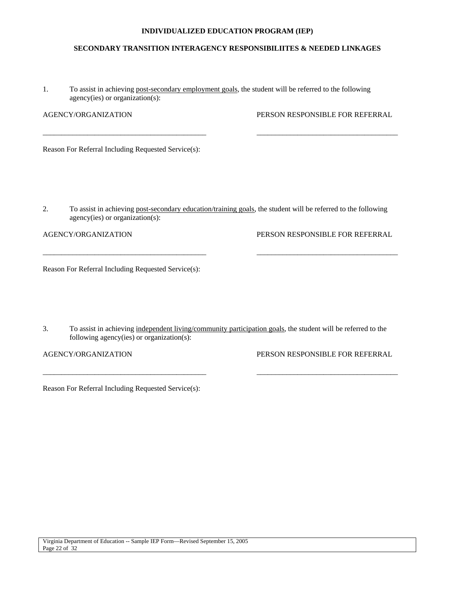#### **SECONDARY TRANSITION INTERAGENCY RESPONSIBILIITES & NEEDED LINKAGES**

1. To assist in achieving post-secondary employment goals, the student will be referred to the following agency(ies) or organization(s):

AGENCY/ORGANIZATION PERSON RESPONSIBLE FOR REFERRAL

Reason For Referral Including Requested Service(s):

2. To assist in achieving post-secondary education/training goals, the student will be referred to the following agency(ies) or organization(s):

\_\_\_\_\_\_\_\_\_\_\_\_\_\_\_\_\_\_\_\_\_\_\_\_\_\_\_\_\_\_\_\_\_\_\_\_\_\_\_\_\_\_\_\_ \_\_\_\_\_\_\_\_\_\_\_\_\_\_\_\_\_\_\_\_\_\_\_\_\_\_\_\_\_\_\_\_\_\_\_\_\_\_

\_\_\_\_\_\_\_\_\_\_\_\_\_\_\_\_\_\_\_\_\_\_\_\_\_\_\_\_\_\_\_\_\_\_\_\_\_\_\_\_\_\_\_\_ \_\_\_\_\_\_\_\_\_\_\_\_\_\_\_\_\_\_\_\_\_\_\_\_\_\_\_\_\_\_\_\_\_\_\_\_\_\_

AGENCY/ORGANIZATION PERSON RESPONSIBLE FOR REFERRAL

Reason For Referral Including Requested Service(s):

3. To assist in achieving independent living/community participation goals, the student will be referred to the following agency(ies) or organization(s):

\_\_\_\_\_\_\_\_\_\_\_\_\_\_\_\_\_\_\_\_\_\_\_\_\_\_\_\_\_\_\_\_\_\_\_\_\_\_\_\_\_\_\_\_ \_\_\_\_\_\_\_\_\_\_\_\_\_\_\_\_\_\_\_\_\_\_\_\_\_\_\_\_\_\_\_\_\_\_\_\_\_\_

AGENCY/ORGANIZATION PERSON RESPONSIBLE FOR REFERRAL

Reason For Referral Including Requested Service(s):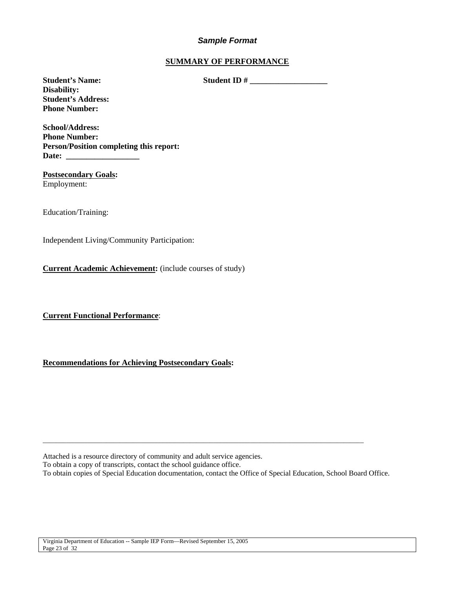## *Sample Format*

## **SUMMARY OF PERFORMANCE**

**Student's Name: Student ID # \_\_\_\_\_\_\_\_\_\_\_\_\_\_\_\_\_\_\_ Disability: Student's Address: Phone Number:**

**School/Address: Phone Number: Person/Position completing this report:**  Date:

**Postsecondary Goals:** Employment:

Education/Training:

Independent Living/Community Participation:

**Current Academic Achievement:** (include courses of study)

**Current Functional Performance**:

**Recommendations for Achieving Postsecondary Goals:**

Attached is a resource directory of community and adult service agencies.

To obtain a copy of transcripts, contact the school guidance office.

To obtain copies of Special Education documentation, contact the Office of Special Education, School Board Office.

\_\_\_\_\_\_\_\_\_\_\_\_\_\_\_\_\_\_\_\_\_\_\_\_\_\_\_\_\_\_\_\_\_\_\_\_\_\_\_\_\_\_\_\_\_\_\_\_\_\_\_\_\_\_\_\_\_\_\_\_\_\_\_\_\_\_\_\_\_\_\_\_\_\_\_\_\_\_\_\_\_\_\_\_\_\_\_\_\_\_\_\_\_\_\_\_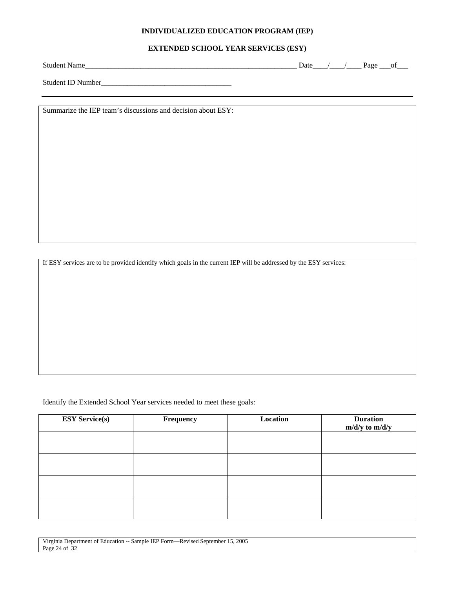## **EXTENDED SCHOOL YEAR SERVICES (ESY)**

| <b>Student Name</b>      | Date |  | Page | ΟĪ |
|--------------------------|------|--|------|----|
| <b>Student ID Number</b> |      |  |      |    |

Summarize the IEP team's discussions and decision about ESY:

If ESY services are to be provided identify which goals in the current IEP will be addressed by the ESY services:

Identify the Extended School Year services needed to meet these goals:

| <b>ESY Service(s)</b> | Frequency | Location | <b>Duration</b><br>m/d/y to m/d/y |
|-----------------------|-----------|----------|-----------------------------------|
|                       |           |          |                                   |
|                       |           |          |                                   |
|                       |           |          |                                   |
|                       |           |          |                                   |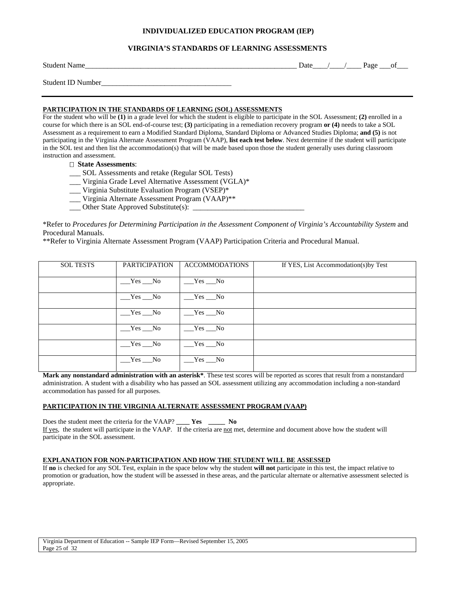#### **VIRGINIA'S STANDARDS OF LEARNING ASSESSMENTS**

| <b>Student Name</b> | Date |  | $\angle$ Page _____ of |  |
|---------------------|------|--|------------------------|--|
| Student ID Number   |      |  |                        |  |

#### **PARTICIPATION IN THE STANDARDS OF LEARNING (SOL) ASSESSMENTS**

For the student who will be **(1)** in a grade level for which the student is eligible to participate in the SOL Assessment; **(2)** enrolled in a course for which there is an SOL end-of-course test; **(3)** participating in a remediation recovery program **or (4)** needs to take a SOL Assessment as a requirement to earn a Modified Standard Diploma, Standard Diploma or Advanced Studies Diploma; **and (5)** is not participating in the Virginia Alternate Assessment Program (VAAP), **list each test below**. Next determine if the student will participate in the SOL test and then list the accommodation(s) that will be made based upon those the student generally uses during classroom instruction and assessment.

#### **State Assessments**:

\_\_\_ SOL Assessments and retake (Regular SOL Tests)

\_\_\_ Virginia Grade Level Alternative Assessment (VGLA)\*

\_\_\_ Virginia Substitute Evaluation Program (VSEP)\*

\_\_\_ Virginia Alternate Assessment Program (VAAP)\*\*

\_\_\_ Other State Approved Substitute(s): \_\_\_\_\_\_\_\_\_\_\_\_\_\_\_\_\_\_\_\_\_\_\_\_\_\_\_\_\_\_

\*Refer to *Procedures for Determining Participation in the Assessment Component of Virginia's Accountability System* and Procedural Manuals.

\*\*Refer to Virginia Alternate Assessment Program (VAAP) Participation Criteria and Procedural Manual.

| <b>SOL TESTS</b> | PARTICIPATION | ACCOMMODATIONS | If YES, List Accommodation(s) by Test |
|------------------|---------------|----------------|---------------------------------------|
|                  | $Yes$ No      | $Yes$ No       |                                       |
|                  | Yes No        | $Yes$ No       |                                       |
|                  | Yes No        | Yes No         |                                       |
|                  | Yes No        | $Yes$ No       |                                       |
|                  | Yes No        | $Yes$ No       |                                       |
|                  | $Yes$ No      | $Yes$ No       |                                       |

**Mark any nonstandard administration with an asterisk\***. These test scores will be reported as scores that result from a nonstandard administration. A student with a disability who has passed an SOL assessment utilizing any accommodation including a non-standard accommodation has passed for all purposes.

#### **PARTICIPATION IN THE VIRGINIA ALTERNATE ASSESSMENT PROGRAM (VAAP)**

Does the student meet the criteria for the VAAP? **\_\_\_\_ Yes \_\_\_\_\_ No** If yes, the student will participate in the VAAP. If the criteria are not met, determine and document above how the student will participate in the SOL assessment.

## **EXPLANATION FOR NON-PARTICIPATION AND HOW THE STUDENT WILL BE ASSESSED**

If **no** is checked for any SOL Test, explain in the space below why the student **will not** participate in this test, the impact relative to promotion or graduation, how the student will be assessed in these areas, and the particular alternate or alternative assessment selected is appropriate.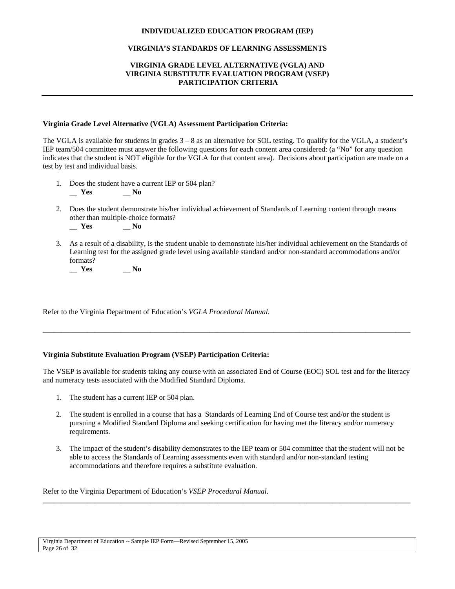#### **VIRGINIA'S STANDARDS OF LEARNING ASSESSMENTS**

#### **VIRGINIA GRADE LEVEL ALTERNATIVE (VGLA) AND VIRGINIA SUBSTITUTE EVALUATION PROGRAM (VSEP) PARTICIPATION CRITERIA**

#### **Virginia Grade Level Alternative (VGLA) Assessment Participation Criteria:**

The VGLA is available for students in grades  $3 - 8$  as an alternative for SOL testing. To qualify for the VGLA, a student's IEP team/504 committee must answer the following questions for each content area considered: (a "No" for any question indicates that the student is NOT eligible for the VGLA for that content area). Decisions about participation are made on a test by test and individual basis.

- 1. Does the student have a current IEP or 504 plan? \_\_ **Yes** \_\_ **No**
- 2. Does the student demonstrate his/her individual achievement of Standards of Learning content through means other than multiple-choice formats?
	- $Yes$   $No$
- 3. As a result of a disability, is the student unable to demonstrate his/her individual achievement on the Standards of Learning test for the assigned grade level using available standard and/or non-standard accommodations and/or formats?

\_\_ **Yes** \_\_ **No** 

Refer to the Virginia Department of Education's *VGLA Procedural Manual*.

#### **Virginia Substitute Evaluation Program (VSEP) Participation Criteria:**

The VSEP is available for students taking any course with an associated End of Course (EOC) SOL test and for the literacy and numeracy tests associated with the Modified Standard Diploma.

**\_\_\_\_\_\_\_\_\_\_\_\_\_\_\_\_\_\_\_\_\_\_\_\_\_\_\_\_\_\_\_\_\_\_\_\_\_\_\_\_\_\_\_\_\_\_\_\_\_\_\_\_\_\_\_\_\_\_\_\_\_\_\_\_\_\_\_\_\_\_\_\_\_\_\_\_\_\_\_\_\_\_\_\_\_\_\_\_\_\_\_\_\_\_\_\_\_\_\_** 

- 1. The student has a current IEP or 504 plan.
- 2. The student is enrolled in a course that has a Standards of Learning End of Course test and/or the student is pursuing a Modified Standard Diploma and seeking certification for having met the literacy and/or numeracy requirements.
- 3. The impact of the student's disability demonstrates to the IEP team or 504 committee that the student will not be able to access the Standards of Learning assessments even with standard and/or non-standard testing accommodations and therefore requires a substitute evaluation.

**\_\_\_\_\_\_\_\_\_\_\_\_\_\_\_\_\_\_\_\_\_\_\_\_\_\_\_\_\_\_\_\_\_\_\_\_\_\_\_\_\_\_\_\_\_\_\_\_\_\_\_\_\_\_\_\_\_\_\_\_\_\_\_\_\_\_\_\_\_\_\_\_\_\_\_\_\_\_\_\_\_\_\_\_\_\_\_\_\_\_\_\_\_\_\_\_\_\_\_** 

Refer to the Virginia Department of Education's *VSEP Procedural Manual*.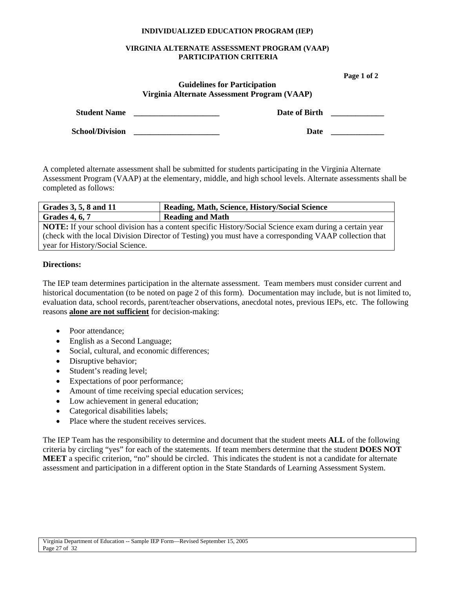#### **VIRGINIA ALTERNATE ASSESSMENT PROGRAM (VAAP) PARTICIPATION CRITERIA**

**Page 1 of 2**

## **Guidelines for Participation Virginia Alternate Assessment Program (VAAP)**

| <b>Student Name</b>    | Date of Birth |  |
|------------------------|---------------|--|
| <b>School/Division</b> | Date          |  |

A completed alternate assessment shall be submitted for students participating in the Virginia Alternate Assessment Program (VAAP) at the elementary, middle, and high school levels. Alternate assessments shall be completed as follows:

| Grades 3, 5, 8 and 11                                                                                         | Reading, Math, Science, History/Social Science |  |  |  |
|---------------------------------------------------------------------------------------------------------------|------------------------------------------------|--|--|--|
| <b>Grades 4, 6, 7</b>                                                                                         | <b>Reading and Math</b>                        |  |  |  |
| <b>NOTE:</b> If your school division has a content specific History/Social Science exam during a certain year |                                                |  |  |  |
| (check with the local Division Director of Testing) you must have a corresponding VAAP collection that        |                                                |  |  |  |
| year for History/Social Science.                                                                              |                                                |  |  |  |

## **Directions:**

The IEP team determines participation in the alternate assessment. Team members must consider current and historical documentation (to be noted on page 2 of this form). Documentation may include, but is not limited to, evaluation data, school records, parent/teacher observations, anecdotal notes, previous IEPs, etc. The following reasons **alone are not sufficient** for decision-making:

- Poor attendance;
- English as a Second Language;
- Social, cultural, and economic differences;
- Disruptive behavior:
- Student's reading level;
- Expectations of poor performance;
- Amount of time receiving special education services;
- Low achievement in general education;
- Categorical disabilities labels;
- Place where the student receives services.

The IEP Team has the responsibility to determine and document that the student meets **ALL** of the following criteria by circling "yes" for each of the statements. If team members determine that the student **DOES NOT MEET** a specific criterion, "no" should be circled. This indicates the student is not a candidate for alternate assessment and participation in a different option in the State Standards of Learning Assessment System.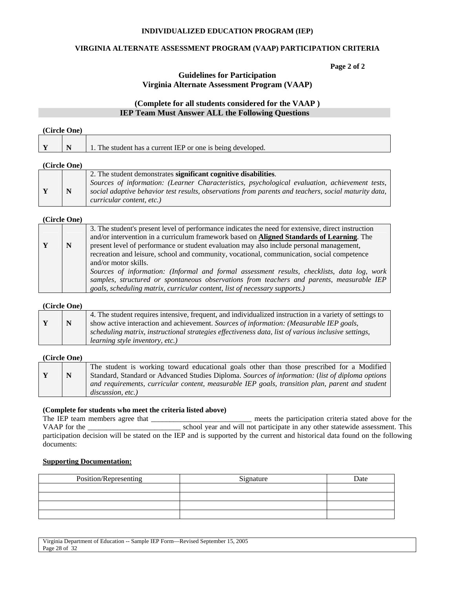## **VIRGINIA ALTERNATE ASSESSMENT PROGRAM (VAAP) PARTICIPATION CRITERIA**

**Page 2 of 2** 

## **Guidelines for Participation Virginia Alternate Assessment Program (VAAP)**

## **(Complete for all students considered for the VAAP ) IEP Team Must Answer ALL the Following Questions**

#### **(Circle One)**

|  | The student has a current IEP or one is being developed. |
|--|----------------------------------------------------------|

#### **(Circle One)**

| $\sim$ $\sim$ $\sim$ $\sim$ $\sim$ $\sim$ |                                                                                                                                                                                                                                     |
|-------------------------------------------|-------------------------------------------------------------------------------------------------------------------------------------------------------------------------------------------------------------------------------------|
|                                           | 2. The student demonstrates significant cognitive disabilities.                                                                                                                                                                     |
| N                                         | Sources of information: (Learner Characteristics, psychological evaluation, achievement tests,<br>social adaptive behavior test results, observations from parents and teachers, social maturity data,<br>curricular content, etc.) |

#### **(Circle One)**

|   | 3. The student's present level of performance indicates the need for extensive, direct instruction |  |  |  |  |
|---|----------------------------------------------------------------------------------------------------|--|--|--|--|
|   | and/or intervention in a curriculum framework based on <b>Aligned Standards of Learning</b> . The  |  |  |  |  |
| N | present level of performance or student evaluation may also include personal management,           |  |  |  |  |
|   | recreation and leisure, school and community, vocational, communication, social competence         |  |  |  |  |
|   | and/or motor skills.                                                                               |  |  |  |  |
|   | Sources of information: (Informal and formal assessment results, checklists, data log, work        |  |  |  |  |
|   | samples, structured or spontaneous observations from teachers and parents, measurable IEP          |  |  |  |  |
|   | goals, scheduling matrix, curricular content, list of necessary supports.)                         |  |  |  |  |

#### **(Circle One)**

|   | 4. The student requires intensive, frequent, and individualized instruction in a variety of settings to |
|---|---------------------------------------------------------------------------------------------------------|
| N | show active interaction and achievement. Sources of information: (Measurable IEP goals,                 |
|   | scheduling matrix, instructional strategies effectiveness data, list of various inclusive settings,     |
|   | <i>learning style inventory, etc.)</i>                                                                  |

#### **(Circle One)**

| N | The student is working toward educational goals other than those prescribed for a Modified<br>Standard, Standard or Advanced Studies Diploma. Sources of information: (list of diploma options |
|---|------------------------------------------------------------------------------------------------------------------------------------------------------------------------------------------------|
|   | and requirements, curricular content, measurable IEP goals, transition plan, parent and student<br><i>discussion, etc.)</i>                                                                    |

#### **(Complete for students who meet the criteria listed above)**

The IEP team members agree that \_\_\_\_\_\_\_\_\_\_\_\_\_\_\_\_\_\_\_\_\_\_\_\_\_\_\_ meets the participation criteria stated above for the VAAP for the \_\_\_\_\_\_\_\_\_\_\_\_\_\_\_\_\_\_\_\_\_\_\_\_\_ school year and will not participate in any other statewide assessment. This participation decision will be stated on the IEP and is supported by the current and historical data found on the following documents:

#### **Supporting Documentation:**

| Position/Representing | Signature | Date |
|-----------------------|-----------|------|
|                       |           |      |
|                       |           |      |
|                       |           |      |
|                       |           |      |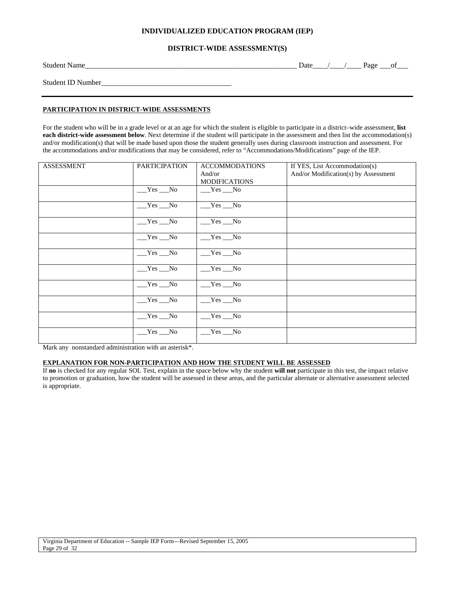#### **DISTRICT-WIDE ASSESSMENT(S)**

| <b>Student Name</b> |  |
|---------------------|--|
|                     |  |

 $S$ Date $\_\_\_\_\_\_\_\_\_\_$ Page  $\_\_$ of

Student ID Number\_\_\_\_\_\_\_\_\_\_\_\_\_\_\_\_\_\_\_\_\_\_\_\_\_\_\_\_\_\_\_\_\_\_\_

#### **PARTICIPATION IN DISTRICT-WIDE ASSESSMENTS**

For the student who will be in a grade level or at an age for which the student is eligible to participate in a district–wide assessment, **list each district-wide assessment below**. Next determine if the student will participate in the assessment and then list the accommodation(s) and/or modification(s) that will be made based upon those the student generally uses during classroom instruction and assessment. For the accommodations and/or modifications that may be considered, refer to "Accommodations/Modifications" page of the IEP.

| <b>ASSESSMENT</b> | <b>PARTICIPATION</b> | <b>ACCOMMODATIONS</b> | If YES, List Accommodation(s)        |
|-------------------|----------------------|-----------------------|--------------------------------------|
|                   |                      | And/or                | And/or Modification(s) by Assessment |
|                   |                      | <b>MODIFICATIONS</b>  |                                      |
|                   | $Yes$ No             | $Yes$ No              |                                      |
|                   | $Yes$ No             | $Yes$ No              |                                      |
|                   | $Yes$ No             | $Yes$ No              |                                      |
|                   | $Yes$ No             | $Yes$ No              |                                      |
|                   | $Yes$ No             | $Yes$ No              |                                      |
|                   | $Yes$ No             | $Yes$ No              |                                      |
|                   | $Yes$ No             | $Yes$ No              |                                      |
|                   | $Yes$ No             | $Yes$ No              |                                      |
|                   | Yes No               | $Yes$ No              |                                      |
|                   | Yes No               | $Yes$ No              |                                      |

Mark any nonstandard administration with an asterisk\*.

#### **EXPLANATION FOR NON-PARTICIPATION AND HOW THE STUDENT WILL BE ASSESSED**

If **no** is checked for any regular SOL Test, explain in the space below why the student **will not** participate in this test, the impact relative to promotion or graduation, how the student will be assessed in these areas, and the particular alternate or alternative assessment selected is appropriate.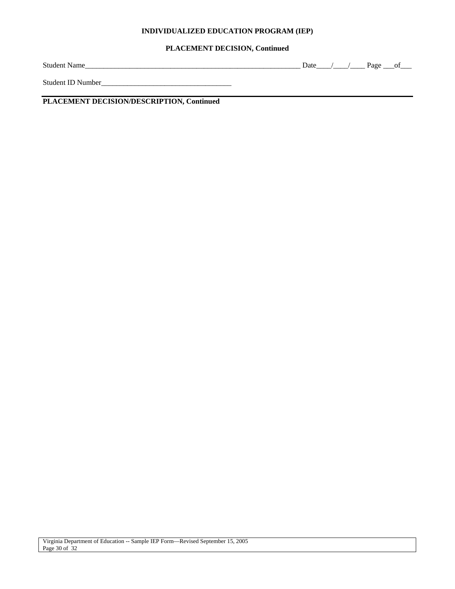## **PLACEMENT DECISION, Continued**

| <b>Student Name</b>                       | Date | Page of |  |
|-------------------------------------------|------|---------|--|
| Student ID Number                         |      |         |  |
| PLACEMENT DECISION/DESCRIPTION, Continued |      |         |  |

Virginia Department of Education -- Sample IEP Form—Revised September 15, 2005 Page 30 of 32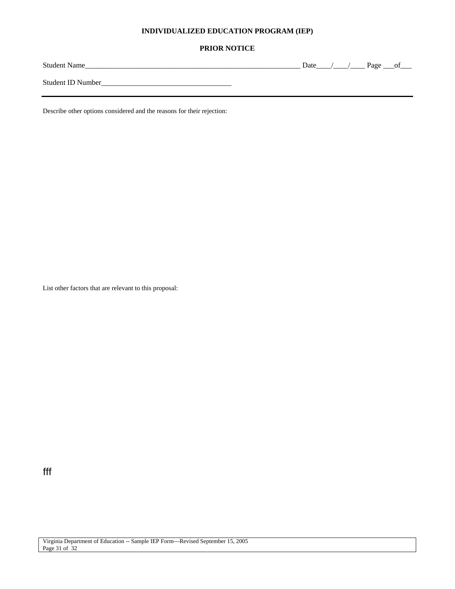## **PRIOR NOTICE**

| <b>Student Name</b>      | Date |  | Page $_{of}$ |  |
|--------------------------|------|--|--------------|--|
| <b>Student ID Number</b> |      |  |              |  |

Describe other options considered and the reasons for their rejection:

List other factors that are relevant to this proposal: